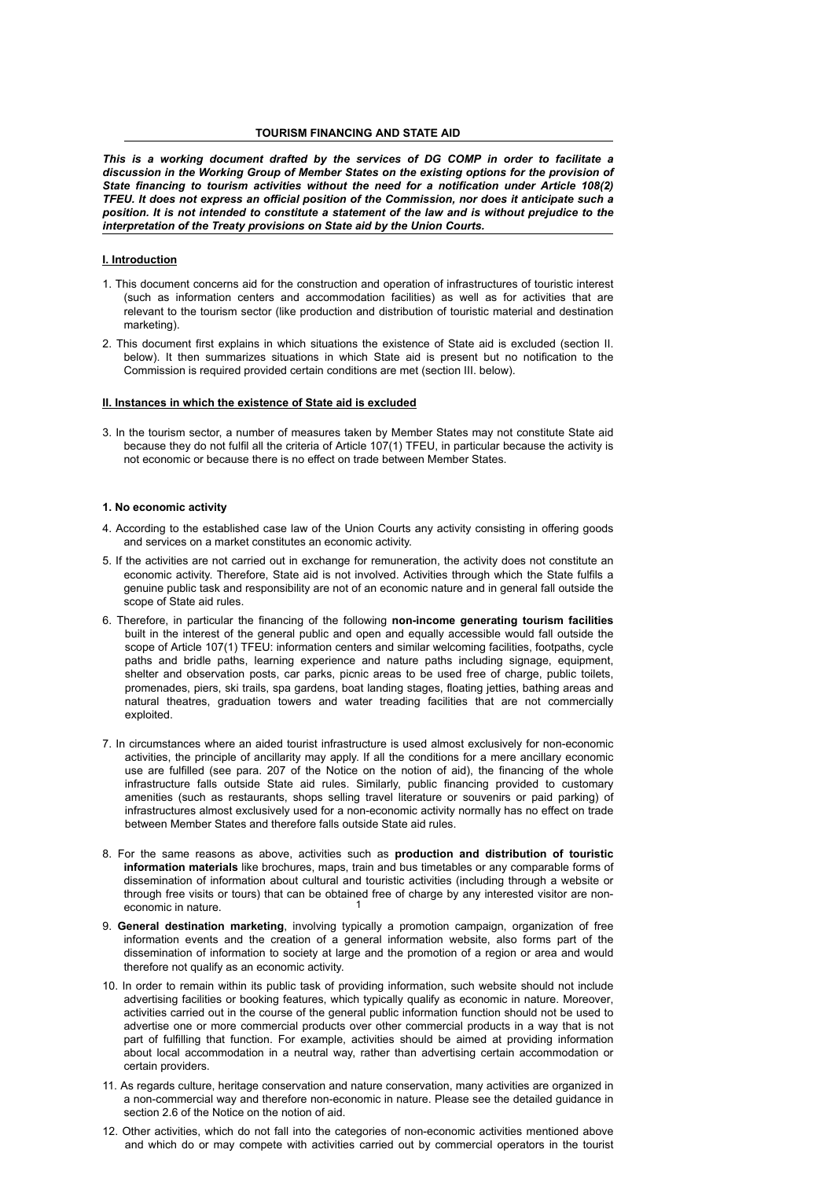*This is a working document drafted by the services of DG COMP in order to facilitate a discussion in the Working Group of Member States on the existing options for the provision of State financing to tourism activities without the need for a notification under Article 108(2) TFEU. It does not express an official position of the Commission, nor does it anticipate such a position. It is not intended to constitute a statement of the law and is without prejudice to the interpretation of the Treaty provisions on State aid by the Union Courts.*

#### **I. Introduction**

- 1. This document concerns aid for the construction and operation of infrastructures of touristic interest (such as information centers and accommodation facilities) as well as for activities that are relevant to the tourism sector (like production and distribution of touristic material and destination marketing).
- 2. This document first explains in which situations the existence of State aid is excluded (section II. below). It then summarizes situations in which State aid is present but no notification to the Commission is required provided certain conditions are met (section III. below).

## **II. Instances in which the existence of State aid is excluded**

3. In the tourism sector, a number of measures taken by Member States may not constitute State aid because they do not fulfil all the criteria of Article 107(1) TFEU, in particular because the activity is not economic or because there is no effect on trade between Member States.

## **1. No economic activity**

- 4. According to the established case law of the Union Courts any activity consisting in offering goods and services on a market constitutes an economic activity.
- 5. If the activities are not carried out in exchange for remuneration, the activity does not constitute an economic activity. Therefore, State aid is not involved. Activities through which the State fulfils a genuine public task and responsibility are not of an economic nature and in general fall outside the scope of State aid rules.
- 6. Therefore, in particular the financing of the following **non-income generating tourism facilities** built in the interest of the general public and open and equally accessible would fall outside the scope of Article 107(1) TFEU: information centers and similar welcoming facilities, footpaths, cycle paths and bridle paths, learning experience and nature paths including signage, equipment, shelter and observation posts, car parks, picnic areas to be used free of charge, public toilets, promenades, piers, ski trails, spa gardens, boat landing stages, floating jetties, bathing areas and natural theatres, graduation towers and water treading facilities that are not commercially exploited.
- 7. In circumstances where an aided tourist infrastructure is used almost exclusively for non-economic activities, the principle of ancillarity may apply. If all the conditions for a mere ancillary economic use are fulfilled (see para. 207 of the Notice on the notion of aid), the financing of the whole infrastructure falls outside State aid rules. Similarly, public financing provided to customary amenities (such as restaurants, shops selling travel literature or souvenirs or paid parking) of infrastructures almost exclusively used for a non-economic activity normally has no effect on trade between Member States and therefore falls outside State aid rules.
- 1 8. For the same reasons as above, activities such as **production and distribution of touristic information materials** like brochures, maps, train and bus timetables or any comparable forms of dissemination of information about cultural and touristic activities (including through a website or through free visits or tours) that can be obtained free of charge by any interested visitor are noneconomic in nature.
- 9. **General destination marketing**, involving typically a promotion campaign, organization of free information events and the creation of a general information website, also forms part of the dissemination of information to society at large and the promotion of a region or area and would therefore not qualify as an economic activity.
- 10. In order to remain within its public task of providing information, such website should not include advertising facilities or booking features, which typically qualify as economic in nature. Moreover, activities carried out in the course of the general public information function should not be used to advertise one or more commercial products over other commercial products in a way that is not part of fulfilling that function. For example, activities should be aimed at providing information about local accommodation in a neutral way, rather than advertising certain accommodation or certain providers.
- 11. As regards culture, heritage conservation and nature conservation, many activities are organized in a non-commercial way and therefore non-economic in nature. Please see the detailed guidance in section 2.6 of the Notice on the notion of aid.
- 12. Other activities, which do not fall into the categories of non-economic activities mentioned above and which do or may compete with activities carried out by commercial operators in the tourist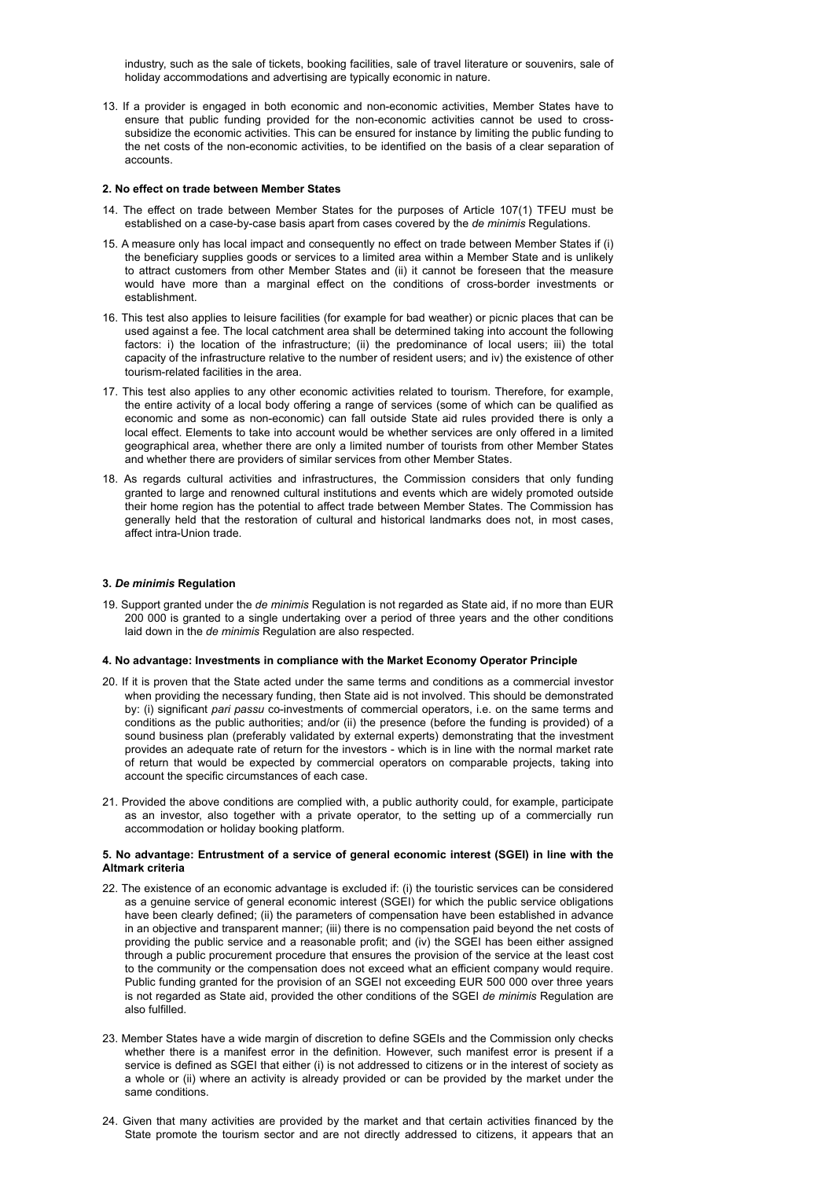industry, such as the sale of tickets, booking facilities, sale of travel literature or souvenirs, sale of holiday accommodations and advertising are typically economic in nature.

13. If a provider is engaged in both economic and non-economic activities, Member States have to ensure that public funding provided for the non-economic activities cannot be used to crosssubsidize the economic activities. This can be ensured for instance by limiting the public funding to the net costs of the non-economic activities, to be identified on the basis of a clear separation of accounts.

#### **2. No effect on trade between Member States**

- 14. The effect on trade between Member States for the purposes of Article 107(1) TFEU must be established on a case-by-case basis apart from cases covered by the *de minimis* Regulations.
- 15. A measure only has local impact and consequently no effect on trade between Member States if (i) the beneficiary supplies goods or services to a limited area within a Member State and is unlikely to attract customers from other Member States and (ii) it cannot be foreseen that the measure would have more than a marginal effect on the conditions of cross-border investments or establishment.
- 16. This test also applies to leisure facilities (for example for bad weather) or picnic places that can be used against a fee. The local catchment area shall be determined taking into account the following factors: i) the location of the infrastructure; (ii) the predominance of local users; iii) the total capacity of the infrastructure relative to the number of resident users; and iv) the existence of other tourism-related facilities in the area.
- 17. This test also applies to any other economic activities related to tourism. Therefore, for example, the entire activity of a local body offering a range of services (some of which can be qualified as economic and some as non-economic) can fall outside State aid rules provided there is only a local effect. Elements to take into account would be whether services are only offered in a limited geographical area, whether there are only a limited number of tourists from other Member States and whether there are providers of similar services from other Member States.
- 18. As regards cultural activities and infrastructures, the Commission considers that only funding granted to large and renowned cultural institutions and events which are widely promoted outside their home region has the potential to affect trade between Member States. The Commission has generally held that the restoration of cultural and historical landmarks does not, in most cases, affect intra-Union trade.

## **3.** *De minimis* **Regulation**

19. Support granted under the *de minimis* Regulation is not regarded as State aid, if no more than EUR 200 000 is granted to a single undertaking over a period of three years and the other conditions laid down in the *de minimis* Regulation are also respected.

#### **4. No advantage: Investments in compliance with the Market Economy Operator Principle**

- 20. If it is proven that the State acted under the same terms and conditions as a commercial investor when providing the necessary funding, then State aid is not involved. This should be demonstrated by: (i) significant *pari passu* co-investments of commercial operators, i.e. on the same terms and conditions as the public authorities; and/or (ii) the presence (before the funding is provided) of a sound business plan (preferably validated by external experts) demonstrating that the investment provides an adequate rate of return for the investors - which is in line with the normal market rate of return that would be expected by commercial operators on comparable projects, taking into account the specific circumstances of each case.
- 21. Provided the above conditions are complied with, a public authority could, for example, participate as an investor, also together with a private operator, to the setting up of a commercially run accommodation or holiday booking platform.

## **5. No advantage: Entrustment of a service of general economic interest (SGEI) in line with the Altmark criteria**

- 22. The existence of an economic advantage is excluded if: (i) the touristic services can be considered as a genuine service of general economic interest (SGEI) for which the public service obligations have been clearly defined; (ii) the parameters of compensation have been established in advance in an objective and transparent manner; (iii) there is no compensation paid beyond the net costs of providing the public service and a reasonable profit; and (iv) the SGEI has been either assigned through a public procurement procedure that ensures the provision of the service at the least cost to the community or the compensation does not exceed what an efficient company would require. Public funding granted for the provision of an SGEI not exceeding EUR 500 000 over three years is not regarded as State aid, provided the other conditions of the SGEI *de minimis* Regulation are also fulfilled.
- 23. Member States have a wide margin of discretion to define SGEIs and the Commission only checks whether there is a manifest error in the definition. However, such manifest error is present if a service is defined as SGEI that either (i) is not addressed to citizens or in the interest of society as a whole or (ii) where an activity is already provided or can be provided by the market under the same conditions.
- 24. Given that many activities are provided by the market and that certain activities financed by the State promote the tourism sector and are not directly addressed to citizens, it appears that an